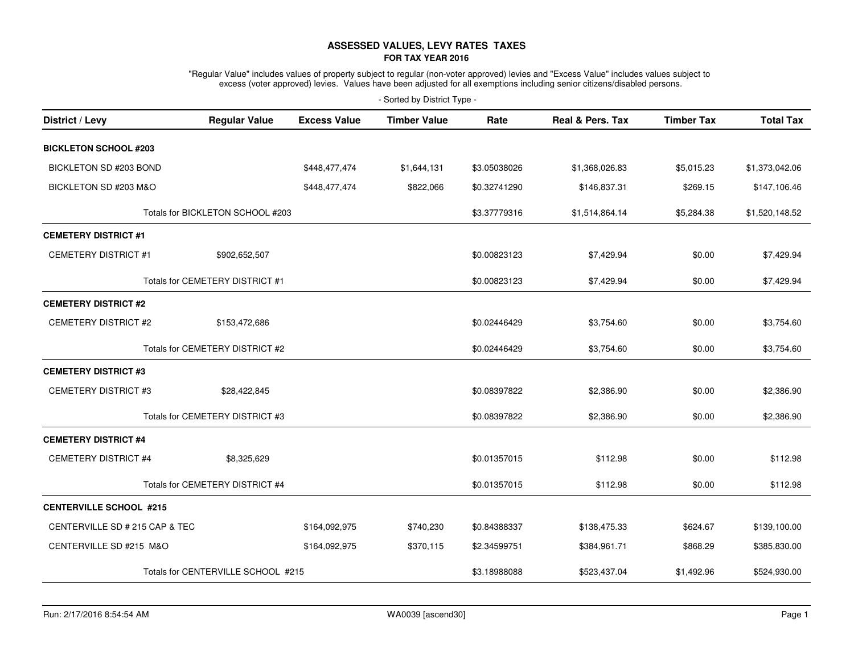## **ASSESSED VALUES, LEVY RATES TAXESFOR TAX YEAR 2016**

"Regular Value" includes values of property subject to regular (non-voter approved) levies and "Excess Value" includes values subject to<br>excess (voter approved) levies. Values have been adjusted for all exemptions includi

| - Sorted by District Type -     |                                    |                     |                     |              |                             |                   |                  |  |  |  |
|---------------------------------|------------------------------------|---------------------|---------------------|--------------|-----------------------------|-------------------|------------------|--|--|--|
| District / Levy                 | <b>Regular Value</b>               | <b>Excess Value</b> | <b>Timber Value</b> | Rate         | <b>Real &amp; Pers. Tax</b> | <b>Timber Tax</b> | <b>Total Tax</b> |  |  |  |
| <b>BICKLETON SCHOOL #203</b>    |                                    |                     |                     |              |                             |                   |                  |  |  |  |
| BICKLETON SD #203 BOND          |                                    | \$448,477,474       | \$1,644,131         | \$3.05038026 | \$1,368,026.83              | \$5,015.23        | \$1,373,042.06   |  |  |  |
| BICKLETON SD #203 M&O           |                                    | \$448,477,474       | \$822,066           | \$0.32741290 | \$146,837.31                | \$269.15          | \$147,106.46     |  |  |  |
|                                 | Totals for BICKLETON SCHOOL #203   |                     |                     | \$3.37779316 | \$1,514,864.14              | \$5,284.38        | \$1,520,148.52   |  |  |  |
| <b>CEMETERY DISTRICT #1</b>     |                                    |                     |                     |              |                             |                   |                  |  |  |  |
| <b>CEMETERY DISTRICT #1</b>     | \$902,652,507                      |                     |                     | \$0.00823123 | \$7,429.94                  | \$0.00            | \$7,429.94       |  |  |  |
|                                 | Totals for CEMETERY DISTRICT #1    |                     |                     | \$0.00823123 | \$7,429.94                  | \$0.00            | \$7,429.94       |  |  |  |
| <b>CEMETERY DISTRICT #2</b>     |                                    |                     |                     |              |                             |                   |                  |  |  |  |
| <b>CEMETERY DISTRICT #2</b>     | \$153,472,686                      |                     |                     | \$0.02446429 | \$3,754.60                  | \$0.00            | \$3,754.60       |  |  |  |
|                                 | Totals for CEMETERY DISTRICT #2    |                     |                     | \$0.02446429 | \$3,754.60                  | \$0.00            | \$3,754.60       |  |  |  |
| <b>CEMETERY DISTRICT #3</b>     |                                    |                     |                     |              |                             |                   |                  |  |  |  |
| <b>CEMETERY DISTRICT #3</b>     | \$28,422,845                       |                     |                     | \$0.08397822 | \$2,386.90                  | \$0.00            | \$2,386.90       |  |  |  |
|                                 | Totals for CEMETERY DISTRICT #3    |                     |                     | \$0.08397822 | \$2,386.90                  | \$0.00            | \$2,386.90       |  |  |  |
| <b>CEMETERY DISTRICT #4</b>     |                                    |                     |                     |              |                             |                   |                  |  |  |  |
| CEMETERY DISTRICT #4            | \$8,325,629                        |                     |                     | \$0.01357015 | \$112.98                    | \$0.00            | \$112.98         |  |  |  |
| Totals for CEMETERY DISTRICT #4 |                                    |                     | \$0.01357015        | \$112.98     | \$0.00                      | \$112.98          |                  |  |  |  |
| <b>CENTERVILLE SCHOOL #215</b>  |                                    |                     |                     |              |                             |                   |                  |  |  |  |
| CENTERVILLE SD # 215 CAP & TEC  |                                    | \$164,092,975       | \$740,230           | \$0.84388337 | \$138,475.33                | \$624.67          | \$139,100.00     |  |  |  |
| CENTERVILLE SD #215 M&O         |                                    | \$164,092,975       | \$370,115           | \$2.34599751 | \$384,961.71                | \$868.29          | \$385,830.00     |  |  |  |
|                                 | Totals for CENTERVILLE SCHOOL #215 |                     |                     | \$3.18988088 | \$523,437.04                | \$1,492.96        | \$524,930.00     |  |  |  |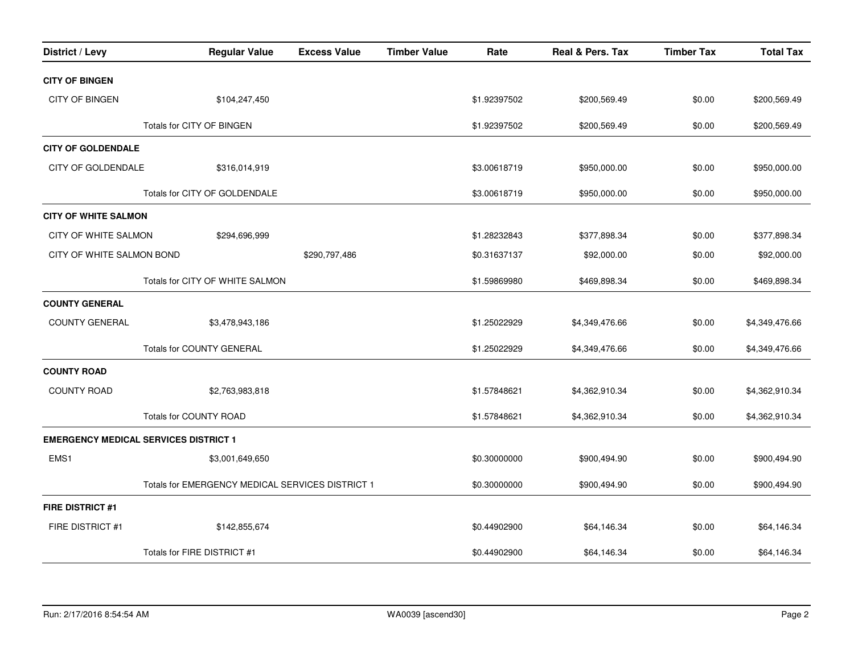| District / Levy                              | <b>Regular Value</b>                             | <b>Excess Value</b> | <b>Timber Value</b> | Rate         | Real & Pers. Tax | <b>Timber Tax</b> | <b>Total Tax</b> |
|----------------------------------------------|--------------------------------------------------|---------------------|---------------------|--------------|------------------|-------------------|------------------|
| <b>CITY OF BINGEN</b>                        |                                                  |                     |                     |              |                  |                   |                  |
| <b>CITY OF BINGEN</b>                        | \$104,247,450                                    |                     |                     | \$1.92397502 | \$200,569.49     | \$0.00            | \$200,569.49     |
|                                              | Totals for CITY OF BINGEN                        |                     |                     | \$1.92397502 | \$200,569.49     | \$0.00            | \$200,569.49     |
| <b>CITY OF GOLDENDALE</b>                    |                                                  |                     |                     |              |                  |                   |                  |
| <b>CITY OF GOLDENDALE</b>                    | \$316,014,919                                    |                     |                     | \$3.00618719 | \$950,000.00     | \$0.00            | \$950,000.00     |
|                                              | Totals for CITY OF GOLDENDALE                    |                     |                     | \$3.00618719 | \$950,000.00     | \$0.00            | \$950,000.00     |
| <b>CITY OF WHITE SALMON</b>                  |                                                  |                     |                     |              |                  |                   |                  |
| CITY OF WHITE SALMON                         | \$294,696,999                                    |                     |                     | \$1.28232843 | \$377,898.34     | \$0.00            | \$377,898.34     |
| CITY OF WHITE SALMON BOND                    |                                                  | \$290,797,486       |                     | \$0.31637137 | \$92,000.00      | \$0.00            | \$92,000.00      |
|                                              | Totals for CITY OF WHITE SALMON                  |                     |                     | \$1.59869980 | \$469,898.34     | \$0.00            | \$469,898.34     |
| <b>COUNTY GENERAL</b>                        |                                                  |                     |                     |              |                  |                   |                  |
| <b>COUNTY GENERAL</b>                        | \$3,478,943,186                                  |                     |                     | \$1.25022929 | \$4,349,476.66   | \$0.00            | \$4,349,476.66   |
|                                              | <b>Totals for COUNTY GENERAL</b>                 |                     |                     | \$1.25022929 | \$4,349,476.66   | \$0.00            | \$4,349,476.66   |
| <b>COUNTY ROAD</b>                           |                                                  |                     |                     |              |                  |                   |                  |
| <b>COUNTY ROAD</b>                           | \$2,763,983,818                                  |                     |                     | \$1.57848621 | \$4,362,910.34   | \$0.00            | \$4,362,910.34   |
| Totals for COUNTY ROAD                       |                                                  |                     |                     | \$1.57848621 | \$4,362,910.34   | \$0.00            | \$4,362,910.34   |
| <b>EMERGENCY MEDICAL SERVICES DISTRICT 1</b> |                                                  |                     |                     |              |                  |                   |                  |
| EMS1                                         | \$3,001,649,650                                  |                     |                     | \$0.30000000 | \$900,494.90     | \$0.00            | \$900,494.90     |
|                                              | Totals for EMERGENCY MEDICAL SERVICES DISTRICT 1 |                     |                     | \$0.30000000 | \$900,494.90     | \$0.00            | \$900,494.90     |
| FIRE DISTRICT #1                             |                                                  |                     |                     |              |                  |                   |                  |
| FIRE DISTRICT #1                             | \$142,855,674                                    |                     |                     | \$0.44902900 | \$64,146.34      | \$0.00            | \$64,146.34      |
|                                              | Totals for FIRE DISTRICT #1                      |                     |                     | \$0.44902900 | \$64,146.34      | \$0.00            | \$64,146.34      |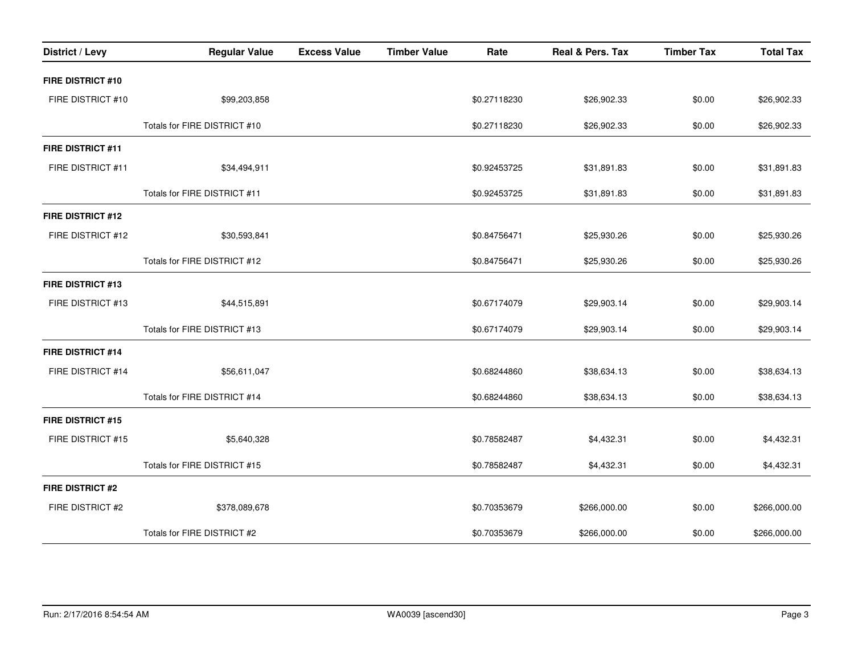| District / Levy          | <b>Regular Value</b>         | <b>Excess Value</b> | <b>Timber Value</b> | Rate         | Real & Pers. Tax | <b>Timber Tax</b> | <b>Total Tax</b> |
|--------------------------|------------------------------|---------------------|---------------------|--------------|------------------|-------------------|------------------|
| FIRE DISTRICT #10        |                              |                     |                     |              |                  |                   |                  |
| FIRE DISTRICT #10        | \$99,203,858                 |                     |                     | \$0.27118230 | \$26,902.33      | \$0.00            | \$26,902.33      |
|                          | Totals for FIRE DISTRICT #10 |                     |                     | \$0.27118230 | \$26,902.33      | \$0.00            | \$26,902.33      |
| <b>FIRE DISTRICT #11</b> |                              |                     |                     |              |                  |                   |                  |
| FIRE DISTRICT #11        | \$34,494,911                 |                     |                     | \$0.92453725 | \$31,891.83      | \$0.00            | \$31,891.83      |
|                          | Totals for FIRE DISTRICT #11 |                     |                     | \$0.92453725 | \$31,891.83      | \$0.00            | \$31,891.83      |
| <b>FIRE DISTRICT #12</b> |                              |                     |                     |              |                  |                   |                  |
| FIRE DISTRICT #12        | \$30,593,841                 |                     |                     | \$0.84756471 | \$25,930.26      | \$0.00            | \$25,930.26      |
|                          | Totals for FIRE DISTRICT #12 |                     |                     | \$0.84756471 | \$25,930.26      | \$0.00            | \$25,930.26      |
| <b>FIRE DISTRICT #13</b> |                              |                     |                     |              |                  |                   |                  |
| FIRE DISTRICT #13        | \$44,515,891                 |                     |                     | \$0.67174079 | \$29,903.14      | \$0.00            | \$29,903.14      |
|                          | Totals for FIRE DISTRICT #13 |                     |                     | \$0.67174079 | \$29,903.14      | \$0.00            | \$29,903.14      |
| <b>FIRE DISTRICT #14</b> |                              |                     |                     |              |                  |                   |                  |
| FIRE DISTRICT #14        | \$56,611,047                 |                     |                     | \$0.68244860 | \$38,634.13      | \$0.00            | \$38,634.13      |
|                          | Totals for FIRE DISTRICT #14 |                     |                     | \$0.68244860 | \$38,634.13      | \$0.00            | \$38,634.13      |
| <b>FIRE DISTRICT #15</b> |                              |                     |                     |              |                  |                   |                  |
| FIRE DISTRICT #15        | \$5,640,328                  |                     |                     | \$0.78582487 | \$4,432.31       | \$0.00            | \$4,432.31       |
|                          | Totals for FIRE DISTRICT #15 |                     |                     | \$0.78582487 | \$4,432.31       | \$0.00            | \$4,432.31       |
| <b>FIRE DISTRICT #2</b>  |                              |                     |                     |              |                  |                   |                  |
| FIRE DISTRICT #2         | \$378,089,678                |                     |                     | \$0.70353679 | \$266,000.00     | \$0.00            | \$266,000.00     |
|                          | Totals for FIRE DISTRICT #2  |                     |                     | \$0.70353679 | \$266,000.00     | \$0.00            | \$266,000.00     |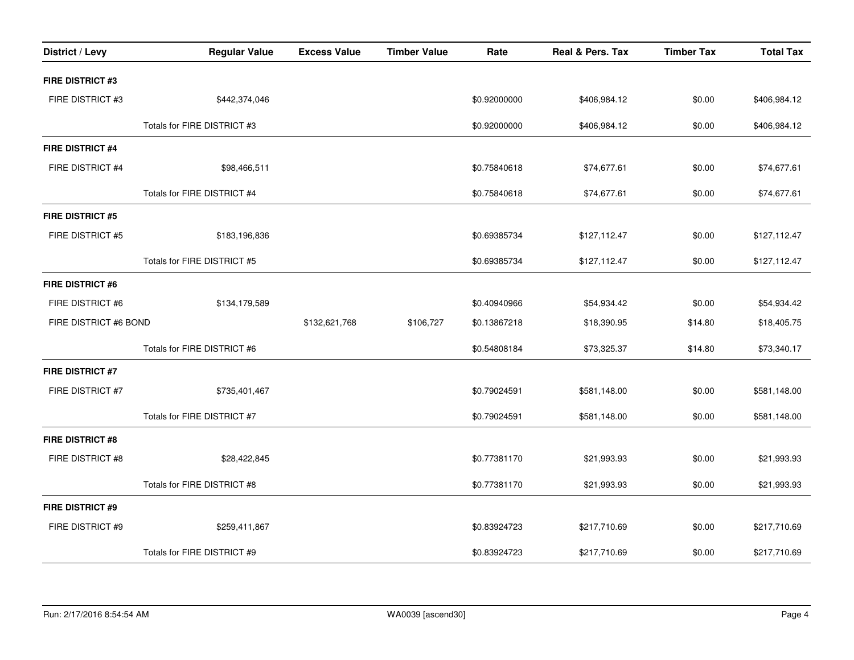| District / Levy         | <b>Regular Value</b>        | <b>Excess Value</b> | <b>Timber Value</b> | Rate         | Real & Pers. Tax | <b>Timber Tax</b> | <b>Total Tax</b> |
|-------------------------|-----------------------------|---------------------|---------------------|--------------|------------------|-------------------|------------------|
| <b>FIRE DISTRICT #3</b> |                             |                     |                     |              |                  |                   |                  |
| FIRE DISTRICT #3        | \$442,374,046               |                     |                     | \$0.92000000 | \$406,984.12     | \$0.00            | \$406,984.12     |
|                         | Totals for FIRE DISTRICT #3 |                     |                     | \$0.92000000 | \$406,984.12     | \$0.00            | \$406,984.12     |
| <b>FIRE DISTRICT #4</b> |                             |                     |                     |              |                  |                   |                  |
| FIRE DISTRICT #4        | \$98,466,511                |                     |                     | \$0.75840618 | \$74,677.61      | \$0.00            | \$74,677.61      |
|                         | Totals for FIRE DISTRICT #4 |                     |                     | \$0.75840618 | \$74,677.61      | \$0.00            | \$74,677.61      |
| <b>FIRE DISTRICT #5</b> |                             |                     |                     |              |                  |                   |                  |
| FIRE DISTRICT #5        | \$183,196,836               |                     |                     | \$0.69385734 | \$127,112.47     | \$0.00            | \$127,112.47     |
|                         | Totals for FIRE DISTRICT #5 |                     |                     | \$0.69385734 | \$127,112.47     | \$0.00            | \$127,112.47     |
| <b>FIRE DISTRICT #6</b> |                             |                     |                     |              |                  |                   |                  |
| FIRE DISTRICT #6        | \$134,179,589               |                     |                     | \$0.40940966 | \$54,934.42      | \$0.00            | \$54,934.42      |
| FIRE DISTRICT #6 BOND   |                             | \$132,621,768       | \$106,727           | \$0.13867218 | \$18,390.95      | \$14.80           | \$18,405.75      |
|                         | Totals for FIRE DISTRICT #6 |                     |                     | \$0.54808184 | \$73,325.37      | \$14.80           | \$73,340.17      |
| <b>FIRE DISTRICT #7</b> |                             |                     |                     |              |                  |                   |                  |
| FIRE DISTRICT #7        | \$735,401,467               |                     |                     | \$0.79024591 | \$581,148.00     | \$0.00            | \$581,148.00     |
|                         | Totals for FIRE DISTRICT #7 |                     |                     | \$0.79024591 | \$581,148.00     | \$0.00            | \$581,148.00     |
| FIRE DISTRICT #8        |                             |                     |                     |              |                  |                   |                  |
| FIRE DISTRICT #8        | \$28,422,845                |                     |                     | \$0.77381170 | \$21,993.93      | \$0.00            | \$21,993.93      |
|                         | Totals for FIRE DISTRICT #8 |                     |                     | \$0.77381170 | \$21,993.93      | \$0.00            | \$21,993.93      |
| <b>FIRE DISTRICT #9</b> |                             |                     |                     |              |                  |                   |                  |
| FIRE DISTRICT #9        | \$259,411,867               |                     |                     | \$0.83924723 | \$217,710.69     | \$0.00            | \$217,710.69     |
|                         | Totals for FIRE DISTRICT #9 |                     |                     | \$0.83924723 | \$217,710.69     | \$0.00            | \$217,710.69     |
|                         |                             |                     |                     |              |                  |                   |                  |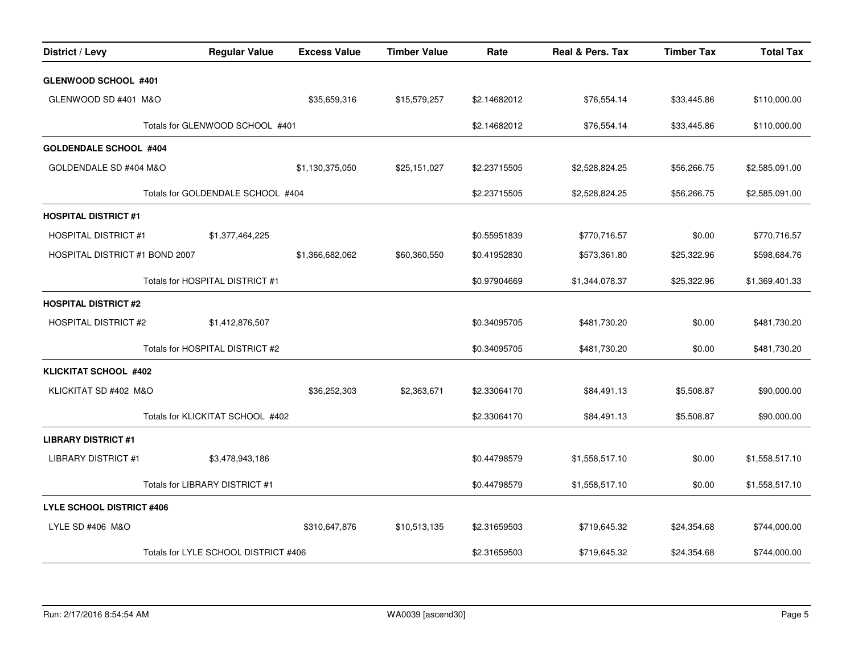| District / Levy                  | <b>Regular Value</b>                 | <b>Excess Value</b> | <b>Timber Value</b> | Rate         | Real & Pers. Tax | <b>Timber Tax</b> | <b>Total Tax</b> |
|----------------------------------|--------------------------------------|---------------------|---------------------|--------------|------------------|-------------------|------------------|
| <b>GLENWOOD SCHOOL #401</b>      |                                      |                     |                     |              |                  |                   |                  |
| GLENWOOD SD #401 M&O             |                                      | \$35,659,316        | \$15,579,257        | \$2.14682012 | \$76,554.14      | \$33,445.86       | \$110,000.00     |
| Totals for GLENWOOD SCHOOL #401  |                                      |                     |                     | \$2.14682012 | \$76,554.14      | \$33,445.86       | \$110,000.00     |
| <b>GOLDENDALE SCHOOL #404</b>    |                                      |                     |                     |              |                  |                   |                  |
| GOLDENDALE SD #404 M&O           |                                      | \$1,130,375,050     | \$25,151,027        | \$2.23715505 | \$2,528,824.25   | \$56,266.75       | \$2,585,091.00   |
|                                  | Totals for GOLDENDALE SCHOOL #404    |                     |                     | \$2.23715505 | \$2,528,824.25   | \$56,266.75       | \$2,585,091.00   |
| <b>HOSPITAL DISTRICT #1</b>      |                                      |                     |                     |              |                  |                   |                  |
| <b>HOSPITAL DISTRICT #1</b>      | \$1,377,464,225                      |                     |                     | \$0.55951839 | \$770,716.57     | \$0.00            | \$770,716.57     |
| HOSPITAL DISTRICT #1 BOND 2007   |                                      | \$1,366,682,062     | \$60,360,550        | \$0.41952830 | \$573,361.80     | \$25,322.96       | \$598,684.76     |
|                                  | Totals for HOSPITAL DISTRICT #1      |                     |                     | \$0.97904669 | \$1,344,078.37   | \$25,322.96       | \$1,369,401.33   |
| <b>HOSPITAL DISTRICT #2</b>      |                                      |                     |                     |              |                  |                   |                  |
| <b>HOSPITAL DISTRICT #2</b>      | \$1,412,876,507                      |                     |                     | \$0.34095705 | \$481,730.20     | \$0.00            | \$481,730.20     |
|                                  | Totals for HOSPITAL DISTRICT #2      |                     |                     | \$0.34095705 | \$481,730.20     | \$0.00            | \$481,730.20     |
| <b>KLICKITAT SCHOOL #402</b>     |                                      |                     |                     |              |                  |                   |                  |
| KLICKITAT SD #402 M&O            |                                      | \$36,252,303        | \$2,363,671         | \$2.33064170 | \$84,491.13      | \$5,508.87        | \$90,000.00      |
|                                  | Totals for KLICKITAT SCHOOL #402     |                     |                     | \$2.33064170 | \$84,491.13      | \$5,508.87        | \$90,000.00      |
| <b>LIBRARY DISTRICT #1</b>       |                                      |                     |                     |              |                  |                   |                  |
| <b>LIBRARY DISTRICT #1</b>       | \$3,478,943,186                      |                     |                     | \$0.44798579 | \$1,558,517.10   | \$0.00            | \$1,558,517.10   |
|                                  | Totals for LIBRARY DISTRICT #1       |                     |                     | \$0.44798579 | \$1,558,517.10   | \$0.00            | \$1,558,517.10   |
| <b>LYLE SCHOOL DISTRICT #406</b> |                                      |                     |                     |              |                  |                   |                  |
| LYLE SD #406 M&O                 |                                      | \$310,647,876       | \$10,513,135        | \$2.31659503 | \$719,645.32     | \$24,354.68       | \$744,000.00     |
|                                  | Totals for LYLE SCHOOL DISTRICT #406 |                     |                     | \$2.31659503 | \$719,645.32     | \$24,354.68       | \$744,000.00     |
|                                  |                                      |                     |                     |              |                  |                   |                  |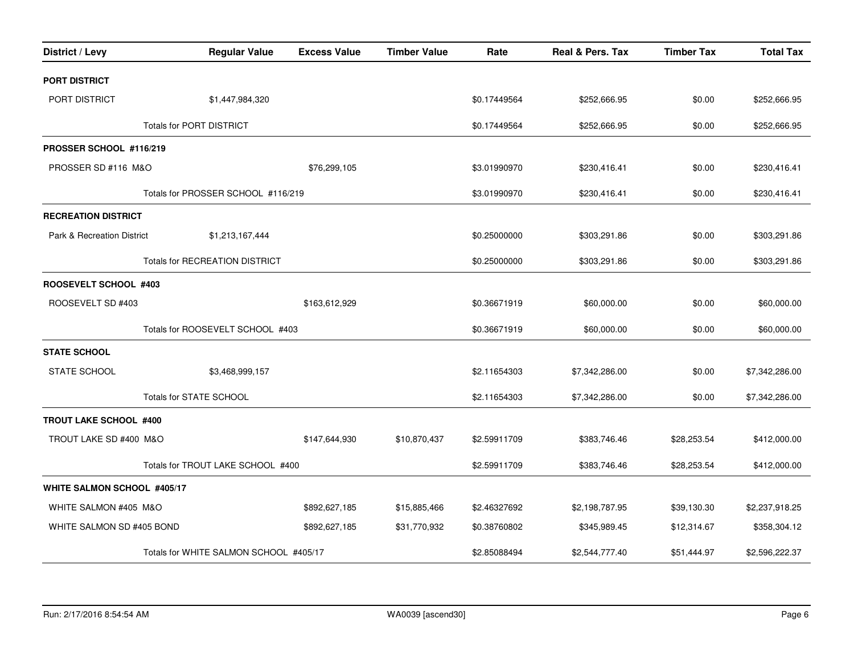| District / Levy                    | <b>Regular Value</b>                   | <b>Excess Value</b> | <b>Timber Value</b> | Rate         | Real & Pers. Tax | <b>Timber Tax</b> | <b>Total Tax</b> |
|------------------------------------|----------------------------------------|---------------------|---------------------|--------------|------------------|-------------------|------------------|
| PORT DISTRICT                      |                                        |                     |                     |              |                  |                   |                  |
| PORT DISTRICT                      | \$1,447,984,320                        |                     |                     | \$0.17449564 | \$252,666.95     | \$0.00            | \$252,666.95     |
| <b>Totals for PORT DISTRICT</b>    |                                        |                     |                     | \$0.17449564 | \$252,666.95     | \$0.00            | \$252,666.95     |
| PROSSER SCHOOL #116/219            |                                        |                     |                     |              |                  |                   |                  |
| PROSSER SD #116 M&O                |                                        | \$76,299,105        |                     | \$3.01990970 | \$230,416.41     | \$0.00            | \$230,416.41     |
|                                    | Totals for PROSSER SCHOOL #116/219     |                     |                     | \$3.01990970 | \$230,416.41     | \$0.00            | \$230,416.41     |
| <b>RECREATION DISTRICT</b>         |                                        |                     |                     |              |                  |                   |                  |
| Park & Recreation District         | \$1,213,167,444                        |                     |                     | \$0.25000000 | \$303,291.86     | \$0.00            | \$303,291.86     |
|                                    | <b>Totals for RECREATION DISTRICT</b>  |                     |                     | \$0.25000000 | \$303,291.86     | \$0.00            | \$303,291.86     |
| ROOSEVELT SCHOOL #403              |                                        |                     |                     |              |                  |                   |                  |
| ROOSEVELT SD #403                  |                                        | \$163,612,929       |                     | \$0.36671919 | \$60,000.00      | \$0.00            | \$60,000.00      |
|                                    | Totals for ROOSEVELT SCHOOL #403       |                     |                     | \$0.36671919 | \$60,000.00      | \$0.00            | \$60,000.00      |
| <b>STATE SCHOOL</b>                |                                        |                     |                     |              |                  |                   |                  |
| <b>STATE SCHOOL</b>                | \$3,468,999,157                        |                     |                     | \$2.11654303 | \$7,342,286.00   | \$0.00            | \$7,342,286.00   |
|                                    | Totals for STATE SCHOOL                |                     |                     | \$2.11654303 | \$7,342,286.00   | \$0.00            | \$7,342,286.00   |
| <b>TROUT LAKE SCHOOL #400</b>      |                                        |                     |                     |              |                  |                   |                  |
| TROUT LAKE SD #400 M&O             |                                        | \$147,644,930       | \$10,870,437        | \$2.59911709 | \$383,746.46     | \$28,253.54       | \$412,000.00     |
|                                    | Totals for TROUT LAKE SCHOOL #400      |                     |                     | \$2.59911709 | \$383,746.46     | \$28,253.54       | \$412,000.00     |
| <b>WHITE SALMON SCHOOL #405/17</b> |                                        |                     |                     |              |                  |                   |                  |
| WHITE SALMON #405 M&O              |                                        | \$892,627,185       | \$15,885,466        | \$2.46327692 | \$2,198,787.95   | \$39,130.30       | \$2,237,918.25   |
| WHITE SALMON SD #405 BOND          |                                        | \$892,627,185       | \$31,770,932        | \$0.38760802 | \$345,989.45     | \$12,314.67       | \$358,304.12     |
|                                    | Totals for WHITE SALMON SCHOOL #405/17 |                     |                     | \$2.85088494 | \$2,544,777.40   | \$51,444.97       | \$2,596,222.37   |